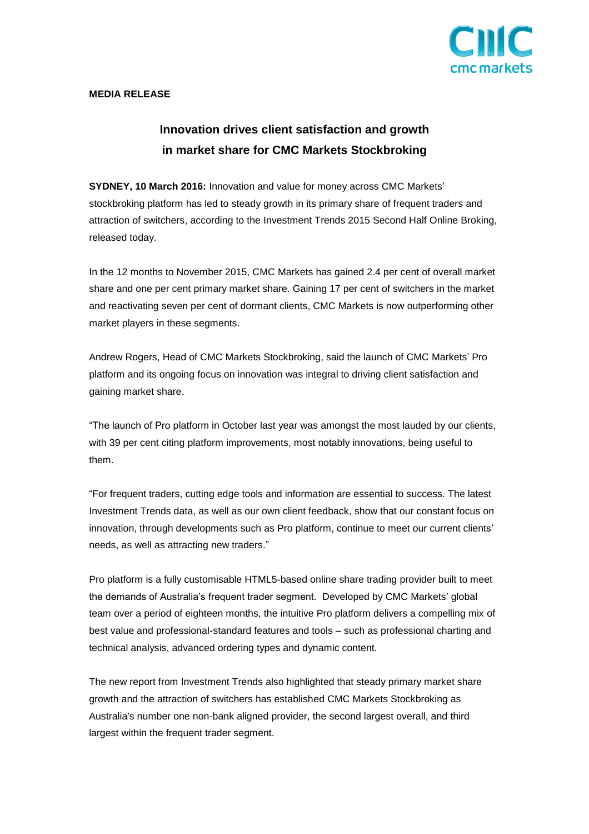

# **MEDIA RELEASE**

# **Innovation drives client satisfaction and growth in market share for CMC Markets Stockbroking**

**SYDNEY, 10 March 2016:** Innovation and value for money across CMC Markets' stockbroking platform has led to steady growth in its primary share of frequent traders and attraction of switchers, according to the Investment Trends 2015 Second Half Online Broking, released today.

In the 12 months to November 2015, CMC Markets has gained 2.4 per cent of overall market share and one per cent primary market share. Gaining 17 per cent of switchers in the market and reactivating seven per cent of dormant clients, CMC Markets is now outperforming other market players in these segments.

Andrew Rogers, Head of CMC Markets Stockbroking, said the launch of CMC Markets' Pro platform and its ongoing focus on innovation was integral to driving client satisfaction and gaining market share.

"The launch of Pro platform in October last year was amongst the most lauded by our clients, with 39 per cent citing platform improvements, most notably innovations, being useful to them.

"For frequent traders, cutting edge tools and information are essential to success. The latest Investment Trends data, as well as our own client feedback, show that our constant focus on innovation, through developments such as Pro platform, continue to meet our current clients' needs, as well as attracting new traders."

Pro platform is a fully customisable HTML5-based online share trading provider built to meet the demands of Australia's frequent trader segment. Developed by CMC Markets' global team over a period of eighteen months, the intuitive Pro platform delivers a compelling mix of best value and professional-standard features and tools – such as professional charting and technical analysis, advanced ordering types and dynamic content.

The new report from Investment Trends also highlighted that steady primary market share growth and the attraction of switchers has established CMC Markets Stockbroking as Australia's number one non-bank aligned provider, the second largest overall, and third largest within the frequent trader segment.